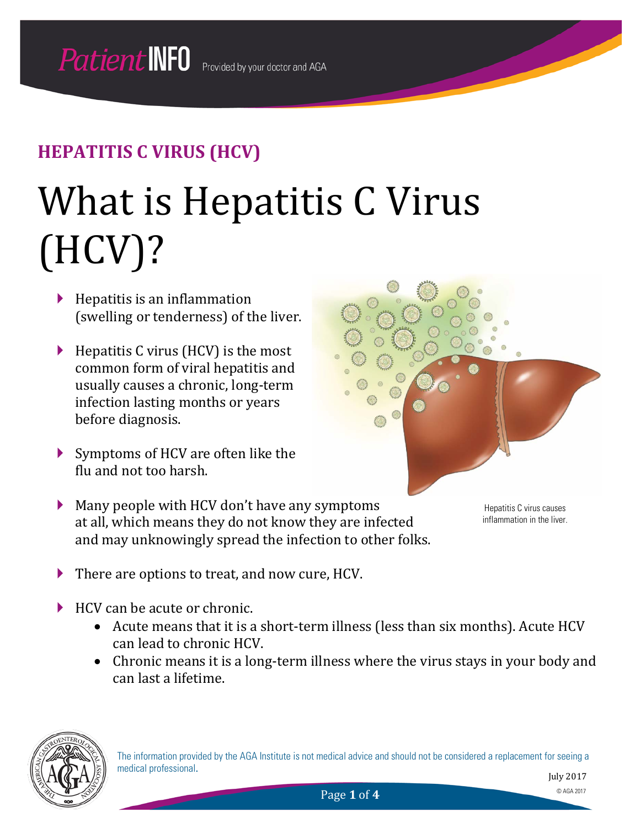# What is Hepatitis C Virus (HCV)?

- $\blacktriangleright$  Hepatitis is an inflammation (swelling or tenderness) of the liver.
- $\blacktriangleright$  Hepatitis C virus (HCV) is the most common form of viral hepatitis and usually causes a chronic, long-term infection lasting months or years before diagnosis.
- ▶ Symptoms of HCV are often like the flu and not too harsh.



Hepatitis C virus causes inflammation in the liver.

- There are options to treat, and now cure, HCV.
- HCV can be acute or chronic.
	- Acute means that it is a short-term illness (less than six months). Acute HCV can lead to chronic HCV.
	- Chronic means it is a long-term illness where the virus stays in your body and can last a lifetime.

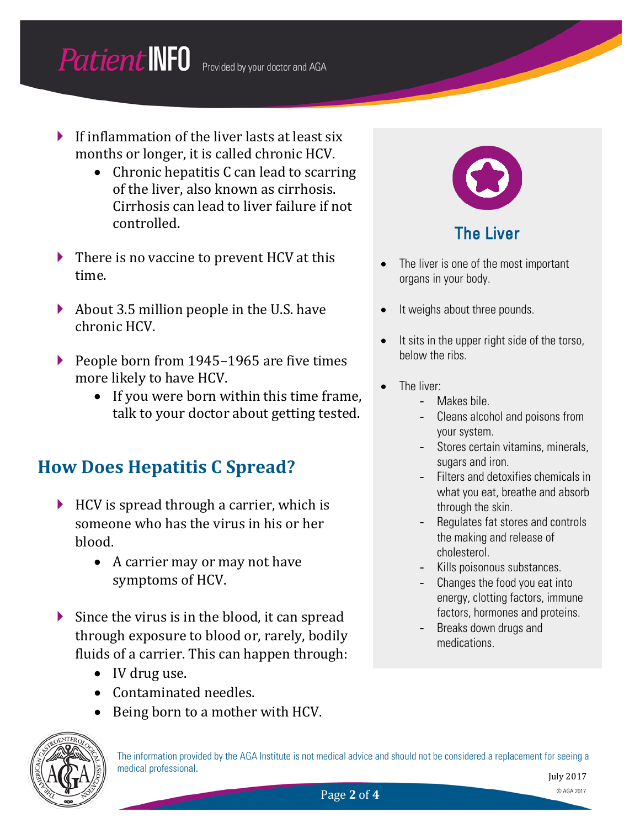## **Patient INFO** Provided by your doctor and AGA

- If inflammation of the liver lasts at least six months or longer, it is called chronic HCV.
	- Chronic hepatitis C can lead to scarring of the liver, also known as cirrhosis. Cirrhosis can lead to liver failure if not controlled.
- $\blacktriangleright$  There is no vaccine to prevent HCV at this time.
- About 3.5 million people in the U.S. have chronic HCV.
- People born from 1945–1965 are five times more likely to have HCV.
	- If you were born within this time frame, talk to your doctor about getting tested.

#### **How Does Hepatitis C Spread?**

- $\blacktriangleright$  HCV is spread through a carrier, which is someone who has the virus in his or her blood.
	- A carrier may or may not have symptoms of HCV.
- Since the virus is in the blood, it can spread through exposure to blood or, rarely, bodily fluids of a carrier. This can happen through:
	- IV drug use.
	- Contaminated needles.
	- Being born to a mother with HCV.



The Liver

- The liver is one of the most important organs in your body.
- It weighs about three pounds.
- It sits in the upper right side of the torso, below the ribs.
- The liver:
	- Makes bile.
	- Cleans alcohol and poisons from your system.
	- Stores certain vitamins, minerals, sugars and iron.
	- Filters and detoxifies chemicals in what you eat, breathe and absorb through the skin.
	- Regulates fat stores and controls the making and release of cholesterol.
	- Kills poisonous substances.
	- Changes the food you eat into energy, clotting factors, immune factors, hormones and proteins.
	- Breaks down drugs and medications.



The information provided by the AGA Institute is not medical advice and should not be considered a replacement for seeing a medical professional.

Page 2 of 4 © AGA 2017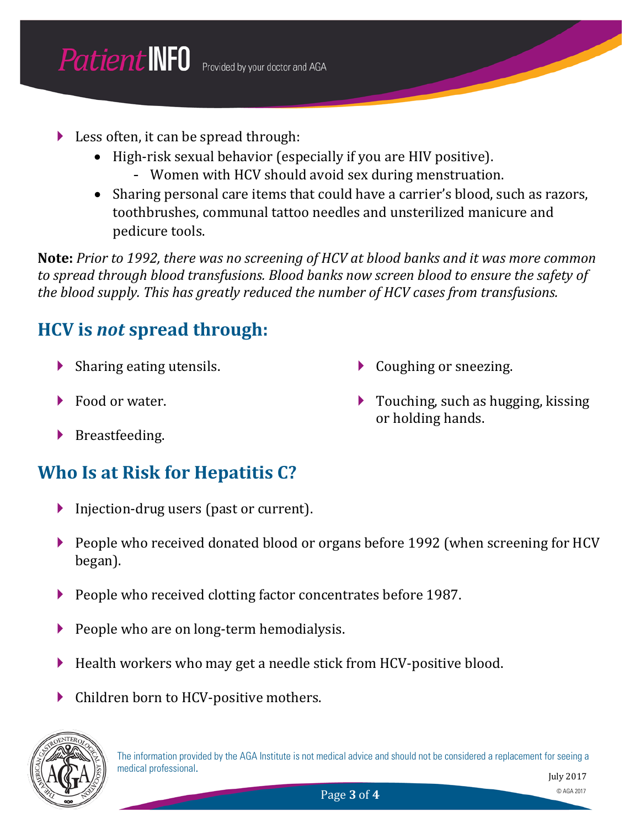- Less often, it can be spread through:
	- High-risk sexual behavior (especially if you are HIV positive). - Women with HCV should avoid sex during menstruation.
	- Sharing personal care items that could have a carrier's blood, such as razors, toothbrushes, communal tattoo needles and unsterilized manicure and pedicure tools.

**Note:** *Prior to 1992, there was no screening of HCV at blood banks and it was more common to spread through blood transfusions. Blood banks now screen blood to ensure the safety of the blood supply. This has greatly reduced the number of HCV cases from transfusions.*

### **HCV is** *not* **spread through:**

- $\blacktriangleright$  Sharing eating utensils.
- Food or water.
- Coughing or sneezing.
- ▶ Touching, such as hugging, kissing or holding hands.

Breastfeeding.

#### **Who Is at Risk for Hepatitis C?**

- Injection-drug users (past or current).
- People who received donated blood or organs before 1992 (when screening for HCV began).
- People who received clotting factor concentrates before 1987.
- People who are on long-term hemodialysis.
- Health workers who may get a needle stick from HCV-positive blood.
- Children born to HCV-positive mothers.

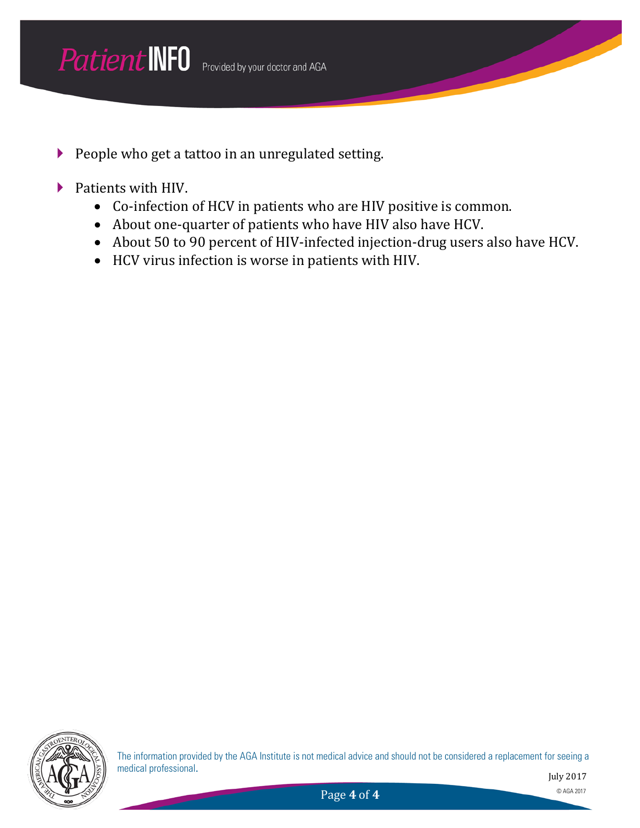- People who get a tattoo in an unregulated setting.
- Patients with HIV.
	- Co-infection of HCV in patients who are HIV positive is common.
	- About one-quarter of patients who have HIV also have HCV.
	- About 50 to 90 percent of HIV-infected injection-drug users also have HCV.
	- HCV virus infection is worse in patients with HIV.



The information provided by the AGA Institute is not medical advice and should not be considered a replacement for seeing a medical professional.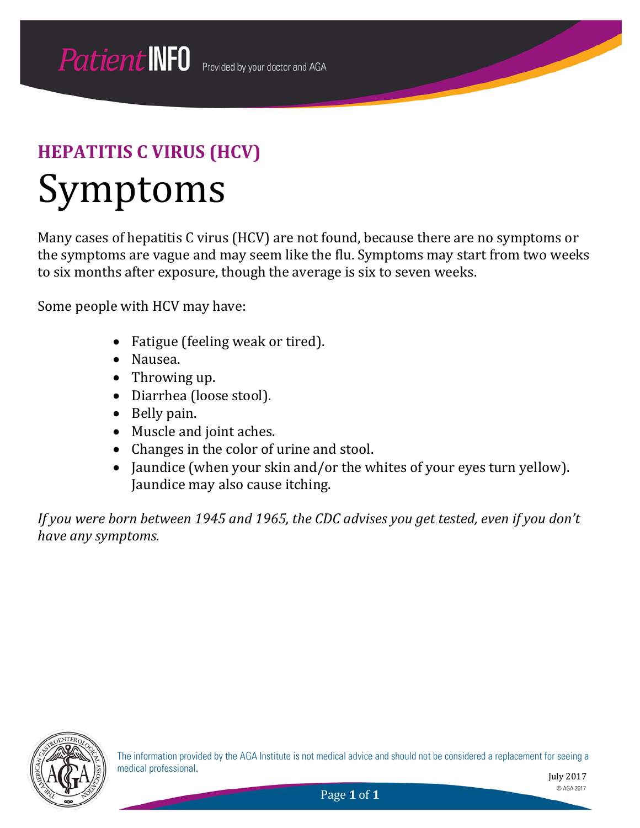## Symptoms

Many cases of hepatitis C virus (HCV) are not found, because there are no symptoms or the symptoms are vague and may seem like the flu. Symptoms may start from two weeks to six months after exposure, though the average is six to seven weeks.

Some people with HCV may have:

- Fatigue (feeling weak or tired).
- Nausea.
- Throwing up.
- Diarrhea (loose stool).
- Belly pain.
- Muscle and joint aches.
- Changes in the color of urine and stool.
- Jaundice (when your skin and/or the whites of your eyes turn yellow). Jaundice may also cause itching.

*If you were born between 1945 and 1965, the CDC advises you get tested, even if you don't have any symptoms.*



The information provided by the AGA Institute is not medical advice and should not be considered a replacement for seeing a medical professional.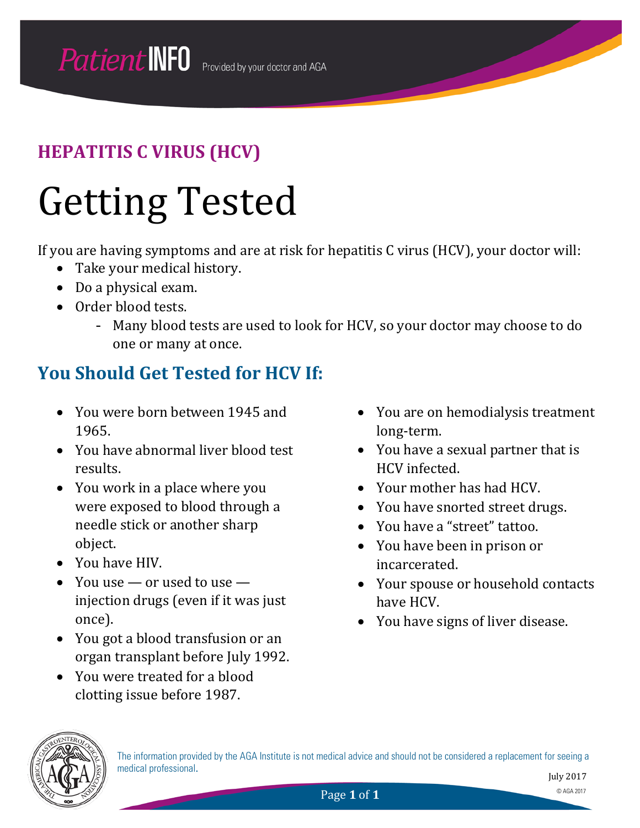## Getting Tested

If you are having symptoms and are at risk for hepatitis C virus (HCV), your doctor will:

- Take your medical history.
- Do a physical exam.
- Order blood tests.
	- Many blood tests are used to look for HCV, so your doctor may choose to do one or many at once.

#### **You Should Get Tested for HCV If:**

- You were born between 1945 and 1965.
- You have abnormal liver blood test results.
- You work in a place where you were exposed to blood through a needle stick or another sharp object.
- You have HIV.
- You use or used to use injection drugs (even if it was just once).
- You got a blood transfusion or an organ transplant before July 1992.
- You were treated for a blood clotting issue before 1987.
- You are on hemodialysis treatment long-term.
- You have a sexual partner that is HCV infected.
- Your mother has had HCV.
- You have snorted street drugs.
- You have a "street" tattoo.
- You have been in prison or incarcerated.
- Your spouse or household contacts have HCV.
- You have signs of liver disease.

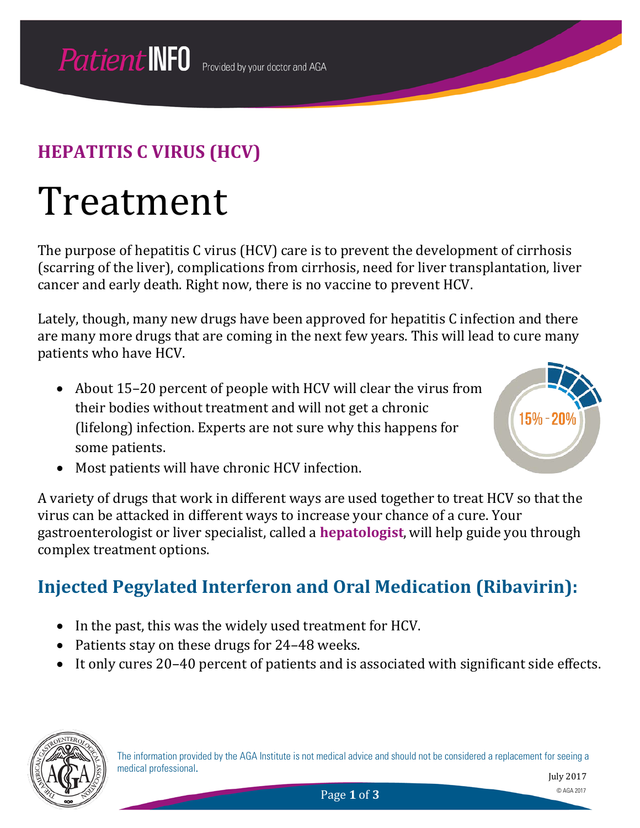## Treatment

The purpose of hepatitis C virus (HCV) care is to prevent the development of cirrhosis (scarring of the liver), complications from cirrhosis, need for liver transplantation, liver cancer and early death. Right now, there is no vaccine to prevent HCV.

Lately, though, many new drugs have been approved for hepatitis C infection and there are many more drugs that are coming in the next few years. This will lead to cure many patients who have HCV.

• About 15–20 percent of people with HCV will clear the virus from their bodies without treatment and will not get a chronic (lifelong) infection. Experts are not sure why this happens for some patients.



• Most patients will have chronic HCV infection.

A variety of drugs that work in different ways are used together to treat HCV so that the virus can be attacked in different ways to increase your chance of a cure. Your gastroenterologist or liver specialist, called a **hepatologist**, will help guide you through complex treatment options.

#### **Injected Pegylated Interferon and Oral Medication (Ribavirin):**

- In the past, this was the widely used treatment for HCV.
- Patients stay on these drugs for 24–48 weeks.
- It only cures 20–40 percent of patients and is associated with significant side effects.

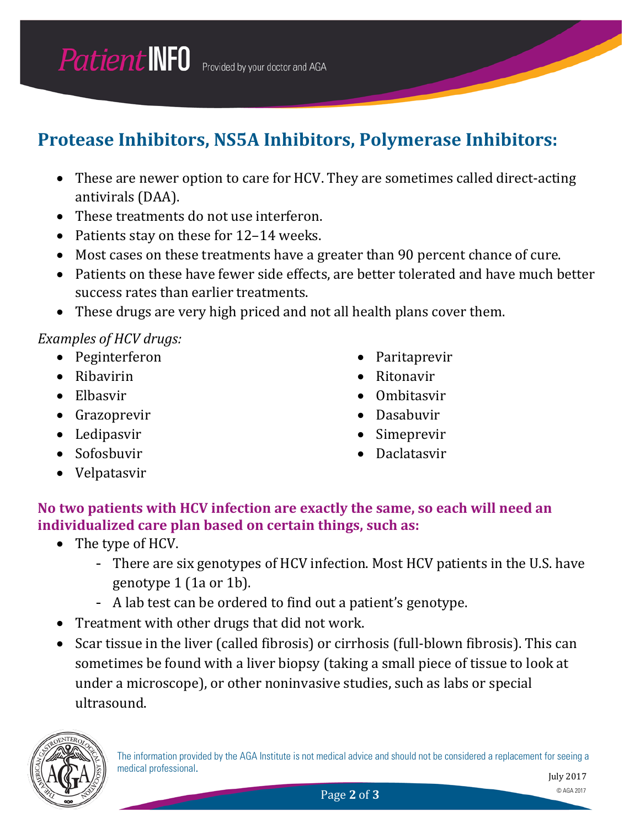### **Protease Inhibitors, NS5A Inhibitors, Polymerase Inhibitors:**

- These are newer option to care for HCV. They are sometimes called direct-acting antivirals (DAA).
- These treatments do not use interferon.
- Patients stay on these for 12-14 weeks.
- Most cases on these treatments have a greater than 90 percent chance of cure.
- Patients on these have fewer side effects, are better tolerated and have much better success rates than earlier treatments.
- These drugs are very high priced and not all health plans cover them.

#### *Examples of HCV drugs:*

- Peginterferon
- Ribavirin
- Elbasvir
- Grazoprevir
- Ledipasvir
- Sofosbuvir
- Velpatasvir
- Paritaprevir
- Ritonavir
- Ombitasvir
- Dasabuvir
- **Simeprevir**
- Daclatasvir

#### **No two patients with HCV infection are exactly the same, so each will need an individualized care plan based on certain things, such as:**

- The type of HCV.
	- There are six genotypes of HCV infection. Most HCV patients in the U.S. have genotype 1 (1a or 1b).
	- A lab test can be ordered to find out a patient's genotype.
- Treatment with other drugs that did not work.
- Scar tissue in the liver (called fibrosis) or cirrhosis (full-blown fibrosis). This can sometimes be found with a liver biopsy (taking a small piece of tissue to look at under a microscope), or other noninvasive studies, such as labs or special ultrasound.



The information provided by the AGA Institute is not medical advice and should not be considered a replacement for seeing a medical professional.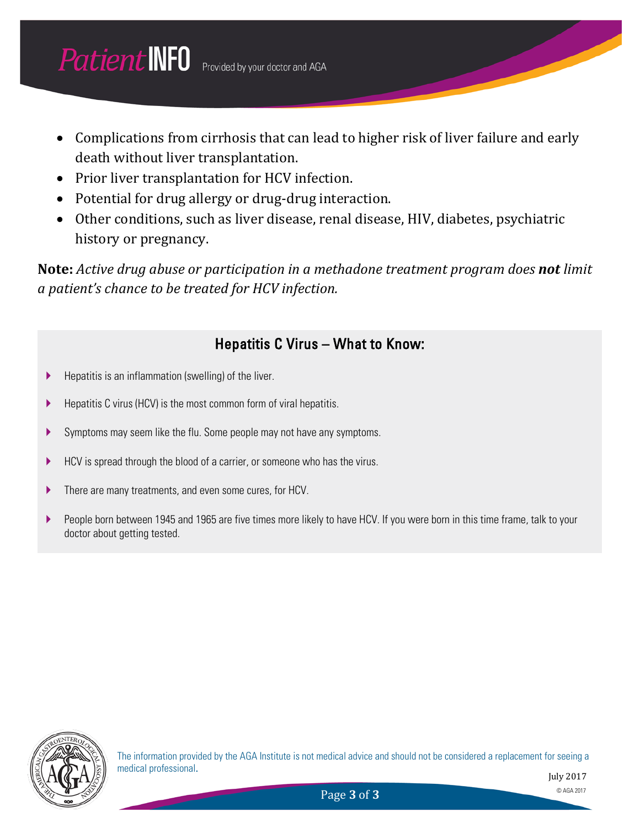- Complications from cirrhosis that can lead to higher risk of liver failure and early death without liver transplantation.
- Prior liver transplantation for HCV infection.
- Potential for drug allergy or drug-drug interaction.
- Other conditions, such as liver disease, renal disease, HIV, diabetes, psychiatric history or pregnancy.

**Note:** *Active drug abuse or participation in a methadone treatment program does not limit a patient's chance to be treated for HCV infection.*

#### Hepatitis C Virus – What to Know:

- $\blacktriangleright$  Hepatitis is an inflammation (swelling) of the liver.
- $\blacktriangleright$  Hepatitis C virus (HCV) is the most common form of viral hepatitis.
- Symptoms may seem like the flu. Some people may not have any symptoms.
- HCV is spread through the blood of a carrier, or someone who has the virus.
- There are many treatments, and even some cures, for HCV.
- People born between 1945 and 1965 are five times more likely to have HCV. If you were born in this time frame, talk to your doctor about getting tested.



The information provided by the AGA Institute is not medical advice and should not be considered a replacement for seeing a medical professional.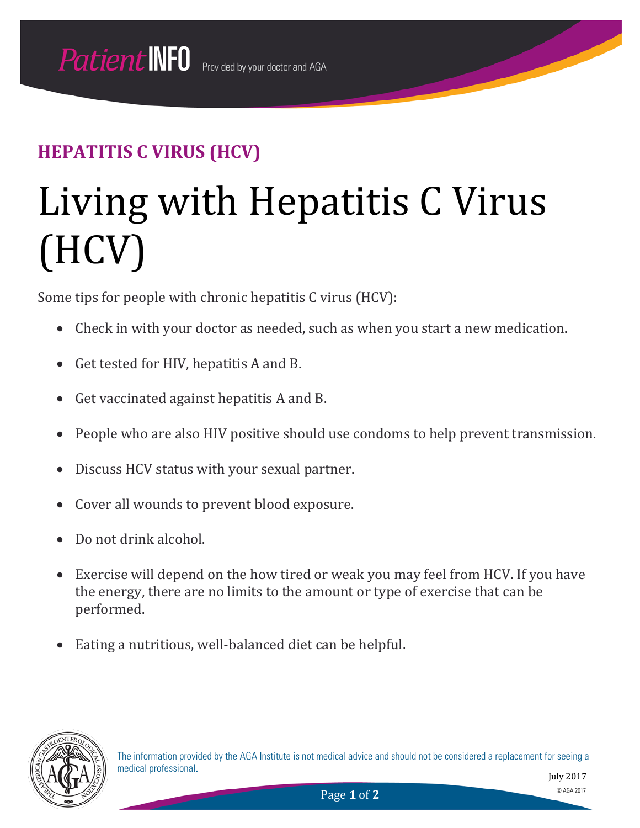# Living with Hepatitis C Virus (HCV)

Some tips for people with chronic hepatitis C virus (HCV):

- Check in with your doctor as needed, such as when you start a new medication.
- Get tested for HIV, hepatitis A and B.
- Get vaccinated against hepatitis A and B.
- People who are also HIV positive should use condoms to help prevent transmission.
- Discuss HCV status with your sexual partner.
- Cover all wounds to prevent blood exposure.
- Do not drink alcohol.
- Exercise will depend on the how tired or weak you may feel from HCV. If you have the energy, there are no limits to the amount or type of exercise that can be performed.
- Eating a nutritious, well-balanced diet can be helpful.